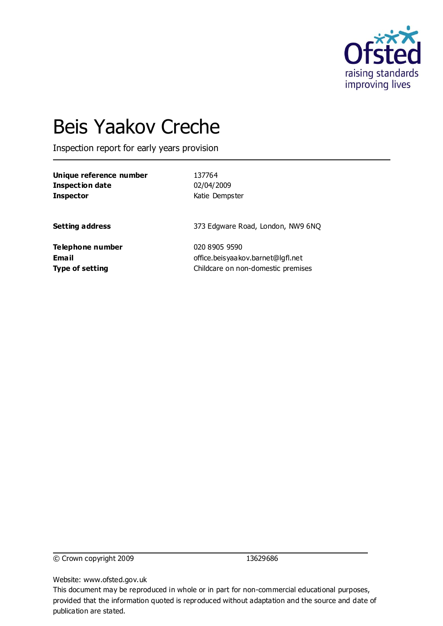

# Beis Yaakov Creche

Inspection report for early years provision

| Unique reference number | 137764                             |
|-------------------------|------------------------------------|
| <b>Inspection date</b>  | 02/04/2009                         |
| <b>Inspector</b>        | Katie Dempster                     |
| <b>Setting address</b>  | 373 Edgware Road, London, NW9 6NQ  |
| Telephone number        | 020 8905 9590                      |
| <b>Email</b>            | office.beisyaakov.barnet@lqfl.net  |
| <b>Type of setting</b>  | Childcare on non-domestic premises |

© Crown copyright 2009 13629686

Website: www.ofsted.gov.uk

This document may be reproduced in whole or in part for non-commercial educational purposes, provided that the information quoted is reproduced without adaptation and the source and date of publication are stated.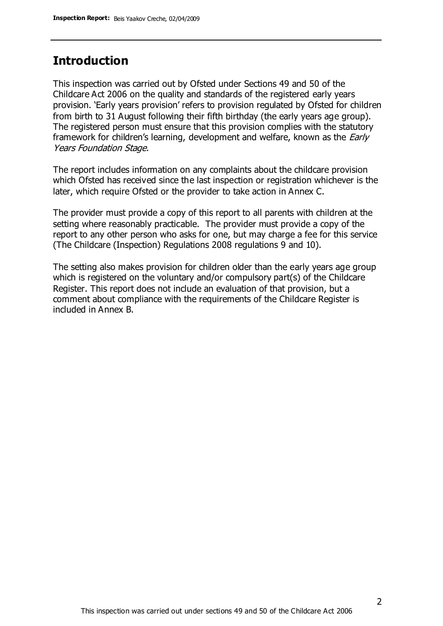### **Introduction**

This inspection was carried out by Ofsted under Sections 49 and 50 of the Childcare Act 2006 on the quality and standards of the registered early years provision. 'Early years provision' refers to provision regulated by Ofsted for children from birth to 31 August following their fifth birthday (the early years age group). The registered person must ensure that this provision complies with the statutory framework for children's learning, development and welfare, known as the *Early* Years Foundation Stage.

The report includes information on any complaints about the childcare provision which Ofsted has received since the last inspection or registration whichever is the later, which require Ofsted or the provider to take action in Annex C.

The provider must provide a copy of this report to all parents with children at the setting where reasonably practicable. The provider must provide a copy of the report to any other person who asks for one, but may charge a fee for this service (The Childcare (Inspection) Regulations 2008 regulations 9 and 10).

The setting also makes provision for children older than the early years age group which is registered on the voluntary and/or compulsory part(s) of the Childcare Register. This report does not include an evaluation of that provision, but a comment about compliance with the requirements of the Childcare Register is included in Annex B.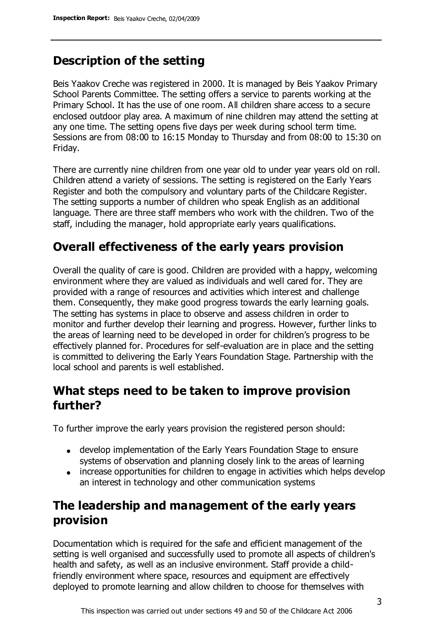## **Description of the setting**

Beis Yaakov Creche was registered in 2000. It is managed by Beis Yaakov Primary School Parents Committee. The setting offers a service to parents working at the Primary School. It has the use of one room. All children share access to a secure enclosed outdoor play area. A maximum of nine children may attend the setting at any one time. The setting opens five days per week during school term time. Sessions are from 08:00 to 16:15 Monday to Thursday and from 08:00 to 15:30 on Friday.

There are currently nine children from one year old to under year years old on roll. Children attend a variety of sessions. The setting is registered on the Early Years Register and both the compulsory and voluntary parts of the Childcare Register. The setting supports a number of children who speak English as an additional language. There are three staff members who work with the children. Two of the staff, including the manager, hold appropriate early years qualifications.

### **Overall effectiveness of the early years provision**

Overall the quality of care is good. Children are provided with a happy, welcoming environment where they are valued as individuals and well cared for. They are provided with a range of resources and activities which interest and challenge them. Consequently, they make good progress towards the early learning goals. The setting has systems in place to observe and assess children in order to monitor and further develop their learning and progress. However, further links to the areas of learning need to be developed in order for children's progress to be effectively planned for. Procedures for self-evaluation are in place and the setting is committed to delivering the Early Years Foundation Stage. Partnership with the local school and parents is well established.

### **What steps need to be taken to improve provision further?**

To further improve the early years provision the registered person should:

- develop implementation of the Early Years Foundation Stage to ensure systems of observation and planning closely link to the areas of learning
- increase opportunities for children to engage in activities which helps develop an interest in technology and other communication systems

## **The leadership and management of the early years provision**

Documentation which is required for the safe and efficient management of the setting is well organised and successfully used to promote all aspects of children's health and safety, as well as an inclusive environment. Staff provide a childfriendly environment where space, resources and equipment are effectively deployed to promote learning and allow children to choose for themselves with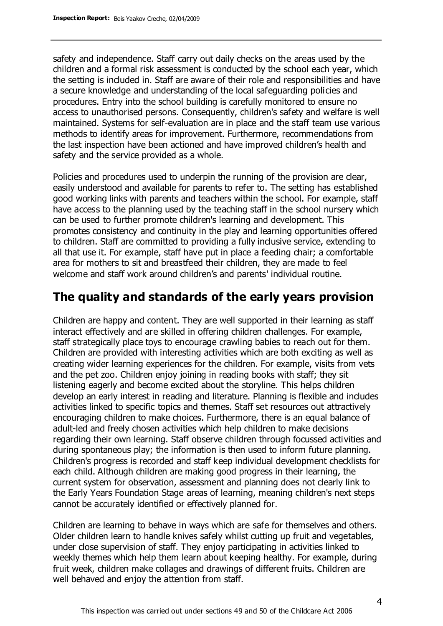safety and independence. Staff carry out daily checks on the areas used by the children and a formal risk assessment is conducted by the school each year, which the setting is included in. Staff are aware of their role and responsibilities and have a secure knowledge and understanding of the local safeguarding policies and procedures. Entry into the school building is carefully monitored to ensure no access to unauthorised persons. Consequently, children's safety and welfare is well maintained. Systems for self-evaluation are in place and the staff team use various methods to identify areas for improvement. Furthermore, recommendations from the last inspection have been actioned and have improved children's health and safety and the service provided as a whole.

Policies and procedures used to underpin the running of the provision are clear, easily understood and available for parents to refer to. The setting has established good working links with parents and teachers within the school. For example, staff have access to the planning used by the teaching staff in the school nursery which can be used to further promote children's learning and development. This promotes consistency and continuity in the play and learning opportunities offered to children. Staff are committed to providing a fully inclusive service, extending to all that use it. For example, staff have put in place a feeding chair; a comfortable area for mothers to sit and breastfeed their children, they are made to feel welcome and staff work around children's and parents' individual routine.

### **The quality and standards of the early years provision**

Children are happy and content. They are well supported in their learning as staff interact effectively and are skilled in offering children challenges. For example, staff strategically place toys to encourage crawling babies to reach out for them. Children are provided with interesting activities which are both exciting as well as creating wider learning experiences for the children. For example, visits from vets and the pet zoo. Children enjoy joining in reading books with staff; they sit listening eagerly and become excited about the storyline. This helps children develop an early interest in reading and literature. Planning is flexible and includes activities linked to specific topics and themes. Staff set resources out attractively encouraging children to make choices. Furthermore, there is an equal balance of adult-led and freely chosen activities which help children to make decisions regarding their own learning. Staff observe children through focussed activities and during spontaneous play; the information is then used to inform future planning. Children's progress is recorded and staff keep individual development checklists for each child. Although children are making good progress in their learning, the current system for observation, assessment and planning does not clearly link to the Early Years Foundation Stage areas of learning, meaning children's next steps cannot be accurately identified or effectively planned for.

Children are learning to behave in ways which are safe for themselves and others. Older children learn to handle knives safely whilst cutting up fruit and vegetables, under close supervision of staff. They enjoy participating in activities linked to weekly themes which help them learn about keeping healthy. For example, during fruit week, children make collages and drawings of different fruits. Children are well behaved and enjoy the attention from staff.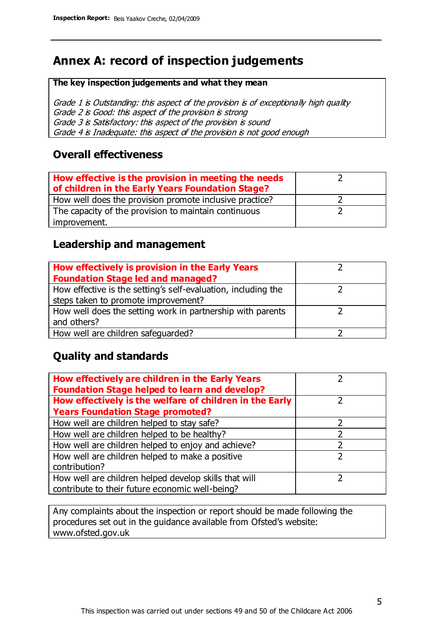# **Annex A: record of inspection judgements**

#### **The key inspection judgements and what they mean**

Grade 1 is Outstanding: this aspect of the provision is of exceptionally high quality Grade 2 is Good: this aspect of the provision is strong Grade 3 is Satisfactory: this aspect of the provision is sound Grade 4 is Inadequate: this aspect of the provision is not good enough

### **Overall effectiveness**

| How effective is the provision in meeting the needs<br>of children in the Early Years Foundation Stage? |  |
|---------------------------------------------------------------------------------------------------------|--|
| How well does the provision promote inclusive practice?                                                 |  |
| The capacity of the provision to maintain continuous                                                    |  |
| improvement.                                                                                            |  |

### **Leadership and management**

| How effectively is provision in the Early Years               |  |
|---------------------------------------------------------------|--|
| <b>Foundation Stage led and managed?</b>                      |  |
| How effective is the setting's self-evaluation, including the |  |
| steps taken to promote improvement?                           |  |
| How well does the setting work in partnership with parents    |  |
| and others?                                                   |  |
| How well are children safeguarded?                            |  |

### **Quality and standards**

| How effectively are children in the Early Years<br><b>Foundation Stage helped to learn and develop?</b> |               |
|---------------------------------------------------------------------------------------------------------|---------------|
| How effectively is the welfare of children in the Early                                                 | ר             |
| <b>Years Foundation Stage promoted?</b>                                                                 |               |
| How well are children helped to stay safe?                                                              |               |
| How well are children helped to be healthy?                                                             |               |
| How well are children helped to enjoy and achieve?                                                      | 2             |
| How well are children helped to make a positive                                                         | $\mathcal{P}$ |
| contribution?                                                                                           |               |
| How well are children helped develop skills that will                                                   |               |
| contribute to their future economic well-being?                                                         |               |

Any complaints about the inspection or report should be made following the procedures set out in the guidance available from Ofsted's website: www.ofsted.gov.uk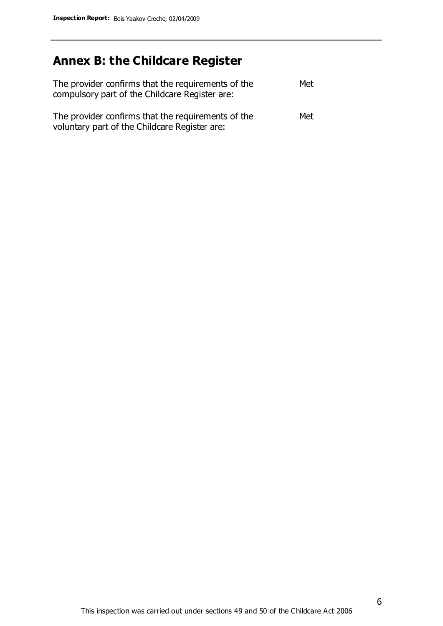# **Annex B: the Childcare Register**

| The provider confirms that the requirements of the<br>compulsory part of the Childcare Register are: | Met |
|------------------------------------------------------------------------------------------------------|-----|
| The provider confirms that the requirements of the<br>voluntary part of the Childcare Register are:  | Met |